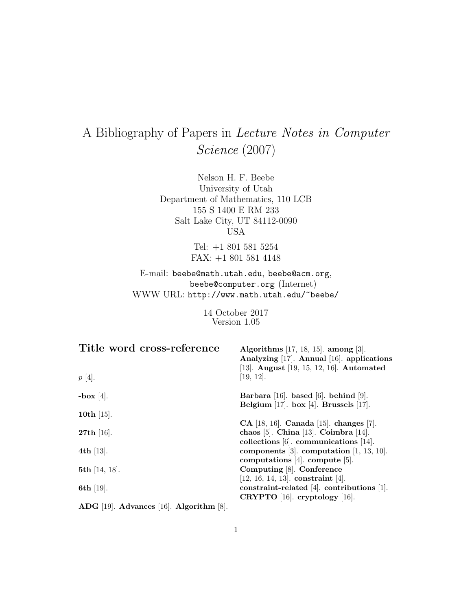# A Bibliography of Papers in Lecture Notes in Computer Science (2007)

Nelson H. F. Beebe University of Utah Department of Mathematics, 110 LCB 155 S 1400 E RM 233 Salt Lake City, UT 84112-0090 USA

> Tel: +1 801 581 5254 FAX: +1 801 581 4148

E-mail: beebe@math.utah.edu, beebe@acm.org, beebe@computer.org (Internet) WWW URL: http://www.math.utah.edu/~beebe/

> 14 October 2017 Version 1.05

| Title word cross-reference                       | Algorithms $[17, 18, 15]$ . among $[3]$ .<br>Analyzing [17]. Annual [16]. applications<br>[13]. August [19, 15, 12, 16]. Automated |
|--------------------------------------------------|------------------------------------------------------------------------------------------------------------------------------------|
| $p[4]$ .                                         | [19, 12].                                                                                                                          |
| -box [4].                                        | Barbara [16]. based [6]. behind [9].                                                                                               |
|                                                  | Belgium [17]. box [4]. Brussels [17].                                                                                              |
| 10th $[15]$ .                                    |                                                                                                                                    |
|                                                  | $CA$ [18, 16]. Canada [15]. changes [7].                                                                                           |
| <b>27th</b> [16].                                | chaos [5]. China [13]. Coimbra [14].                                                                                               |
|                                                  | collections $[6]$ . communications $[14]$ .                                                                                        |
| 4th $[13]$ .                                     | components [3]. computation $[1, 13, 10]$ .                                                                                        |
|                                                  | computations [4]. compute [5].                                                                                                     |
| 5th $[14, 18]$ .                                 | Computing [8]. Conference                                                                                                          |
|                                                  | $[12, 16, 14, 13]$ . constraint $[4]$ .                                                                                            |
| 6th $[19]$ .                                     | constraint-related $[4]$ . contributions $[1]$ .                                                                                   |
|                                                  | CRYPTO $[16]$ . cryptology $[16]$ .                                                                                                |
| ADG $[19]$ . Advances $[16]$ . Algorithm $[8]$ . |                                                                                                                                    |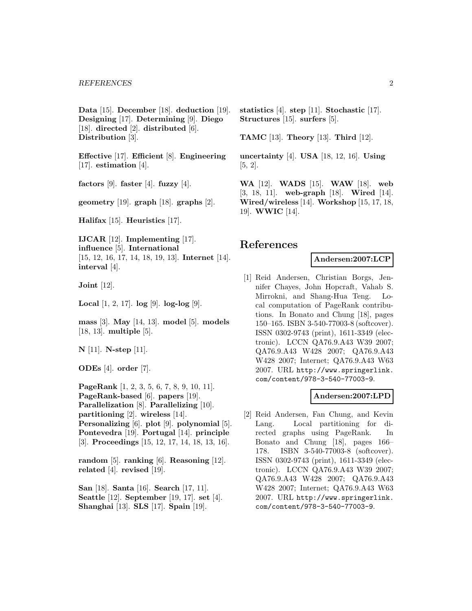**Data** [15]. **December** [18]. **deduction** [19]. **Designing** [17]. **Determining** [9]. **Diego** [18]. **directed** [2]. **distributed** [6]. **Distribution** [3].

**Effective** [17]. **Efficient** [8]. **Engineering** [17]. **estimation** [4].

**factors** [9]. **faster** [4]. **fuzzy** [4].

**geometry** [19]. **graph** [18]. **graphs** [2].

**Halifax** [15]. **Heuristics** [17].

**IJCAR** [12]. **Implementing** [17]. **influence** [5]. **International** [15, 12, 16, 17, 14, 18, 19, 13]. **Internet** [14]. **interval** [4].

**Joint** [12].

**Local** [1, 2, 17]. **log** [9]. **log-log** [9].

**mass** [3]. **May** [14, 13]. **model** [5]. **models** [18, 13]. **multiple** [5].

**N** [11]. **N-step** [11].

**ODEs** [4]. **order** [7].

**PageRank** [1, 2, 3, 5, 6, 7, 8, 9, 10, 11]. **PageRank-based** [6]. **papers** [19]. **Parallelization** [8]. **Parallelizing** [10]. **partitioning** [2]. **wireless** [14]. **Personalizing** [6]. **plot** [9]. **polynomial** [5]. **Pontevedra** [19]. **Portugal** [14]. **principle** [3]. **Proceedings** [15, 12, 17, 14, 18, 13, 16].

**random** [5]. **ranking** [6]. **Reasoning** [12]. **related** [4]. **revised** [19].

**San** [18]. **Santa** [16]. **Search** [17, 11]. **Seattle** [12]. **September** [19, 17]. **set** [4]. **Shanghai** [13]. **SLS** [17]. **Spain** [19].

**statistics** [4]. **step** [11]. **Stochastic** [17]. **Structures** [15]. **surfers** [5].

**TAMC** [13]. **Theory** [13]. **Third** [12].

**uncertainty** [4]. **USA** [18, 12, 16]. **Using** [5, 2].

**WA** [12]. **WADS** [15]. **WAW** [18]. **web** [3, 18, 11]. **web-graph** [18]. **Wired** [14]. **Wired/wireless** [14]. **Workshop** [15, 17, 18, 19]. **WWIC** [14].

#### **References**

### **Andersen:2007:LCP**

[1] Reid Andersen, Christian Borgs, Jennifer Chayes, John Hopcraft, Vahab S. Mirrokni, and Shang-Hua Teng. Local computation of PageRank contributions. In Bonato and Chung [18], pages 150–165. ISBN 3-540-77003-8 (softcover). ISSN 0302-9743 (print), 1611-3349 (electronic). LCCN QA76.9.A43 W39 2007; QA76.9.A43 W428 2007; QA76.9.A43 W428 2007; Internet; QA76.9.A43 W63 2007. URL http://www.springerlink. com/content/978-3-540-77003-9.

#### **Andersen:2007:LPD**

[2] Reid Andersen, Fan Chung, and Kevin Lang. Local partitioning for directed graphs using PageRank. In Bonato and Chung [18], pages 166– 178. ISBN 3-540-77003-8 (softcover). ISSN 0302-9743 (print), 1611-3349 (electronic). LCCN QA76.9.A43 W39 2007; QA76.9.A43 W428 2007; QA76.9.A43 W428 2007; Internet; QA76.9.A43 W63 2007. URL http://www.springerlink. com/content/978-3-540-77003-9.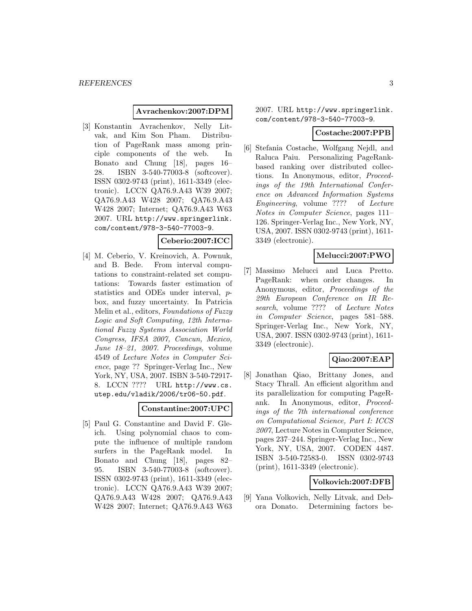#### **Avrachenkov:2007:DPM**

[3] Konstantin Avrachenkov, Nelly Litvak, and Kim Son Pham. Distribution of PageRank mass among principle components of the web. In Bonato and Chung [18], pages 16– 28. ISBN 3-540-77003-8 (softcover). ISSN 0302-9743 (print), 1611-3349 (electronic). LCCN QA76.9.A43 W39 2007; QA76.9.A43 W428 2007; QA76.9.A43 W428 2007; Internet; QA76.9.A43 W63 2007. URL http://www.springerlink. com/content/978-3-540-77003-9.

# **Ceberio:2007:ICC**

[4] M. Ceberio, V. Kreinovich, A. Pownuk, and B. Bede. From interval computations to constraint-related set computations: Towards faster estimation of statistics and ODEs under interval, pbox, and fuzzy uncertainty. In Patricia Melin et al., editors, Foundations of Fuzzy Logic and Soft Computing, 12th International Fuzzy Systems Association World Congress, IFSA 2007, Cancun, Mexico, June 18–21, 2007. Proceedings, volume 4549 of Lecture Notes in Computer Science, page ?? Springer-Verlag Inc., New York, NY, USA, 2007. ISBN 3-540-72917- 8. LCCN ???? URL http://www.cs. utep.edu/vladik/2006/tr06-50.pdf.

#### **Constantine:2007:UPC**

[5] Paul G. Constantine and David F. Gleich. Using polynomial chaos to compute the influence of multiple random surfers in the PageRank model. In Bonato and Chung [18], pages 82– 95. ISBN 3-540-77003-8 (softcover). ISSN 0302-9743 (print), 1611-3349 (electronic). LCCN QA76.9.A43 W39 2007; QA76.9.A43 W428 2007; QA76.9.A43 W428 2007; Internet; QA76.9.A43 W63

2007. URL http://www.springerlink. com/content/978-3-540-77003-9.

#### **Costache:2007:PPB**

[6] Stefania Costache, Wolfgang Nejdl, and Raluca Paiu. Personalizing PageRankbased ranking over distributed collections. In Anonymous, editor, Proceedings of the 19th International Conference on Advanced Information Systems Engineering, volume ???? of Lecture Notes in Computer Science, pages 111– 126. Springer-Verlag Inc., New York, NY, USA, 2007. ISSN 0302-9743 (print), 1611- 3349 (electronic).

#### **Melucci:2007:PWO**

[7] Massimo Melucci and Luca Pretto. PageRank: when order changes. In Anonymous, editor, Proceedings of the 29th European Conference on IR Research, volume ???? of Lecture Notes in Computer Science, pages 581–588. Springer-Verlag Inc., New York, NY, USA, 2007. ISSN 0302-9743 (print), 1611- 3349 (electronic).

# **Qiao:2007:EAP**

[8] Jonathan Qiao, Brittany Jones, and Stacy Thrall. An efficient algorithm and its parallelization for computing PageRank. In Anonymous, editor, Proceedings of the 7th international conference on Computational Science, Part I: ICCS 2007, Lecture Notes in Computer Science, pages 237–244. Springer-Verlag Inc., New York, NY, USA, 2007. CODEN 4487. ISBN 3-540-72583-0. ISSN 0302-9743 (print), 1611-3349 (electronic).

#### **Volkovich:2007:DFB**

[9] Yana Volkovich, Nelly Litvak, and Debora Donato. Determining factors be-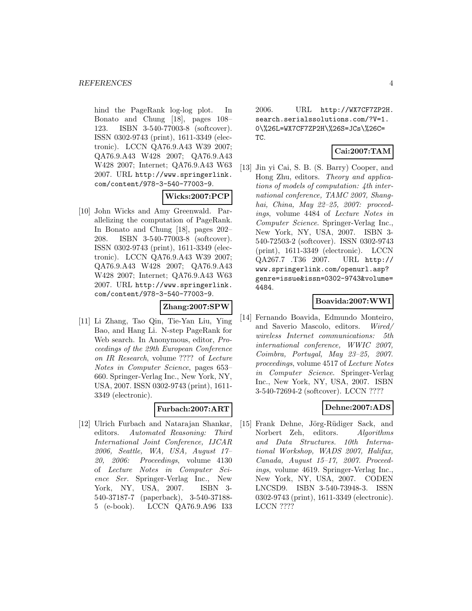hind the PageRank log-log plot. In Bonato and Chung [18], pages 108– 123. ISBN 3-540-77003-8 (softcover). ISSN 0302-9743 (print), 1611-3349 (electronic). LCCN QA76.9.A43 W39 2007; QA76.9.A43 W428 2007; QA76.9.A43 W428 2007; Internet; QA76.9.A43 W63 2007. URL http://www.springerlink. com/content/978-3-540-77003-9.

# **Wicks:2007:PCP**

[10] John Wicks and Amy Greenwald. Parallelizing the computation of PageRank. In Bonato and Chung [18], pages 202– 208. ISBN 3-540-77003-8 (softcover). ISSN 0302-9743 (print), 1611-3349 (electronic). LCCN QA76.9.A43 W39 2007; QA76.9.A43 W428 2007; QA76.9.A43 W428 2007; Internet; QA76.9.A43 W63 2007. URL http://www.springerlink. com/content/978-3-540-77003-9.

#### **Zhang:2007:SPW**

[11] Li Zhang, Tao Qin, Tie-Yan Liu, Ying Bao, and Hang Li. N-step PageRank for Web search. In Anonymous, editor, Proceedings of the 29th European Conference on IR Research, volume ???? of Lecture Notes in Computer Science, pages 653– 660. Springer-Verlag Inc., New York, NY, USA, 2007. ISSN 0302-9743 (print), 1611- 3349 (electronic).

# **Furbach:2007:ART**

[12] Ulrich Furbach and Natarajan Shankar, editors. Automated Reasoning: Third International Joint Conference, IJCAR 2006, Seattle, WA, USA, August 17– 20, 2006: Proceedings, volume 4130 of Lecture Notes in Computer Science Ser. Springer-Verlag Inc., New York, NY, USA, 2007. ISBN 3- 540-37187-7 (paperback), 3-540-37188- 5 (e-book). LCCN QA76.9.A96 I33

2006. URL http://WX7CF7ZP2H. search.serialssolutions.com/?V=1. 0\%26L=WX7CF7ZP2H\%26S=JCs\%26C= TC.

#### **Cai:2007:TAM**

[13] Jin yi Cai, S. B. (S. Barry) Cooper, and Hong Zhu, editors. Theory and applications of models of computation: 4th international conference, TAMC 2007, Shanghai, China, May 22-25, 2007: proceedings, volume 4484 of Lecture Notes in Computer Science. Springer-Verlag Inc., New York, NY, USA, 2007. ISBN 3- 540-72503-2 (softcover). ISSN 0302-9743 (print), 1611-3349 (electronic). LCCN QA267.7 .T36 2007. URL http:// www.springerlink.com/openurl.asp? genre=issue&issn=0302-9743&volume= 4484.

# **Boavida:2007:WWI**

[14] Fernando Boavida, Edmundo Monteiro, and Saverio Mascolo, editors. Wired/ wireless Internet communications: 5th international conference, WWIC 2007, Coimbra, Portugal, May 23–25, 2007. proceedings, volume 4517 of Lecture Notes in Computer Science. Springer-Verlag Inc., New York, NY, USA, 2007. ISBN 3-540-72694-2 (softcover). LCCN ????

# **Dehne:2007:ADS**

[15] Frank Dehne, Jörg-Rüdiger Sack, and Norbert Zeh, editors. Algorithms and Data Structures. 10th International Workshop, WADS 2007, Halifax, Canada, August 15–17, 2007. Proceedings, volume 4619. Springer-Verlag Inc., New York, NY, USA, 2007. CODEN LNCSD9. ISBN 3-540-73948-3. ISSN 0302-9743 (print), 1611-3349 (electronic). LCCN ????